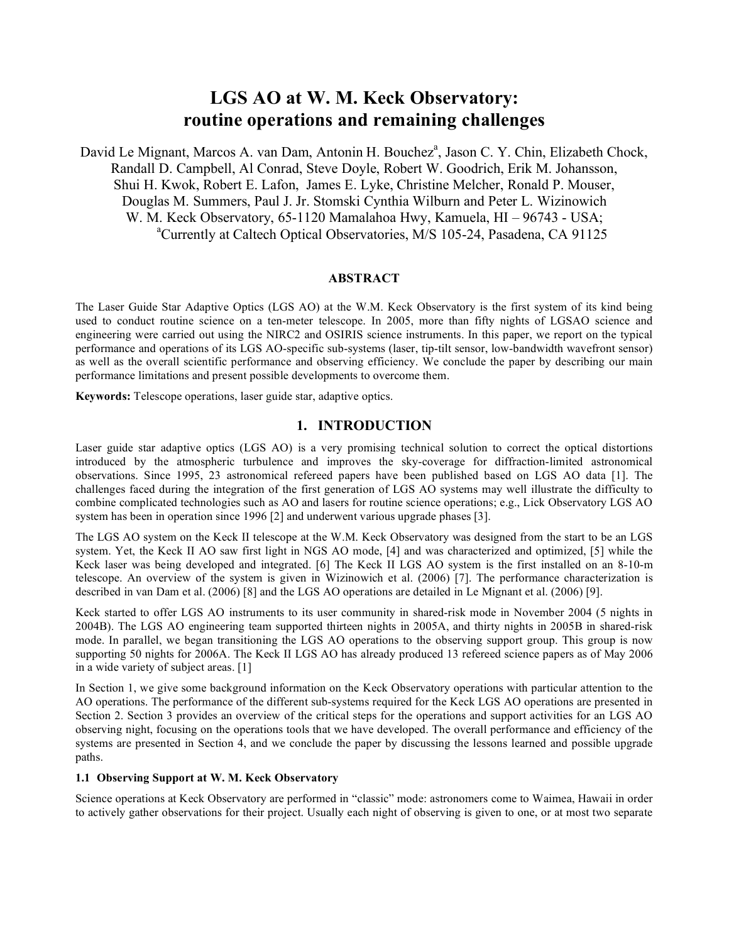# **LGS AO at W. M. Keck Observatory: routine operations and remaining challenges**

David Le Mignant, Marcos A. van Dam, Antonin H. Bouchez<sup>a</sup>, Jason C. Y. Chin, Elizabeth Chock, Randall D. Campbell, Al Conrad, Steve Doyle, Robert W. Goodrich, Erik M. Johansson, Shui H. Kwok, Robert E. Lafon, James E. Lyke, Christine Melcher, Ronald P. Mouser, Douglas M. Summers, Paul J. Jr. Stomski Cynthia Wilburn and Peter L. Wizinowich W. M. Keck Observatory, 65-1120 Mamalahoa Hwy, Kamuela, HI – 96743 - USA; Currently at Caltech Optical Observatories, M/S 105-24, Pasadena, CA 91125

# **ABSTRACT**

The Laser Guide Star Adaptive Optics (LGS AO) at the W.M. Keck Observatory is the first system of its kind being used to conduct routine science on a ten-meter telescope. In 2005, more than fifty nights of LGSAO science and engineering were carried out using the NIRC2 and OSIRIS science instruments. In this paper, we report on the typical performance and operations of its LGS AO-specific sub-systems (laser, tip-tilt sensor, low-bandwidth wavefront sensor) as well as the overall scientific performance and observing efficiency. We conclude the paper by describing our main performance limitations and present possible developments to overcome them.

**Keywords:** Telescope operations, laser guide star, adaptive optics.

# **1. INTRODUCTION**

Laser guide star adaptive optics (LGS AO) is a very promising technical solution to correct the optical distortions introduced by the atmospheric turbulence and improves the sky-coverage for diffraction-limited astronomical observations. Since 1995, 23 astronomical refereed papers have been published based on LGS AO data [1]. The challenges faced during the integration of the first generation of LGS AO systems may well illustrate the difficulty to combine complicated technologies such as AO and lasers for routine science operations; e.g., Lick Observatory LGS AO system has been in operation since 1996 [2] and underwent various upgrade phases [3].

The LGS AO system on the Keck II telescope at the W.M. Keck Observatory was designed from the start to be an LGS system. Yet, the Keck II AO saw first light in NGS AO mode, [4] and was characterized and optimized, [5] while the Keck laser was being developed and integrated. [6] The Keck II LGS AO system is the first installed on an 8-10-m telescope. An overview of the system is given in Wizinowich et al. (2006) [7]. The performance characterization is described in van Dam et al. (2006) [8] and the LGS AO operations are detailed in Le Mignant et al. (2006) [9].

Keck started to offer LGS AO instruments to its user community in shared-risk mode in November 2004 (5 nights in 2004B). The LGS AO engineering team supported thirteen nights in 2005A, and thirty nights in 2005B in shared-risk mode. In parallel, we began transitioning the LGS AO operations to the observing support group. This group is now supporting 50 nights for 2006A. The Keck II LGS AO has already produced 13 refereed science papers as of May 2006 in a wide variety of subject areas. [1]

In Section 1, we give some background information on the Keck Observatory operations with particular attention to the AO operations. The performance of the different sub-systems required for the Keck LGS AO operations are presented in Section 2. Section 3 provides an overview of the critical steps for the operations and support activities for an LGS AO observing night, focusing on the operations tools that we have developed. The overall performance and efficiency of the systems are presented in Section 4, and we conclude the paper by discussing the lessons learned and possible upgrade paths.

#### **1.1 Observing Support at W. M. Keck Observatory**

Science operations at Keck Observatory are performed in "classic" mode: astronomers come to Waimea, Hawaii in order to actively gather observations for their project. Usually each night of observing is given to one, or at most two separate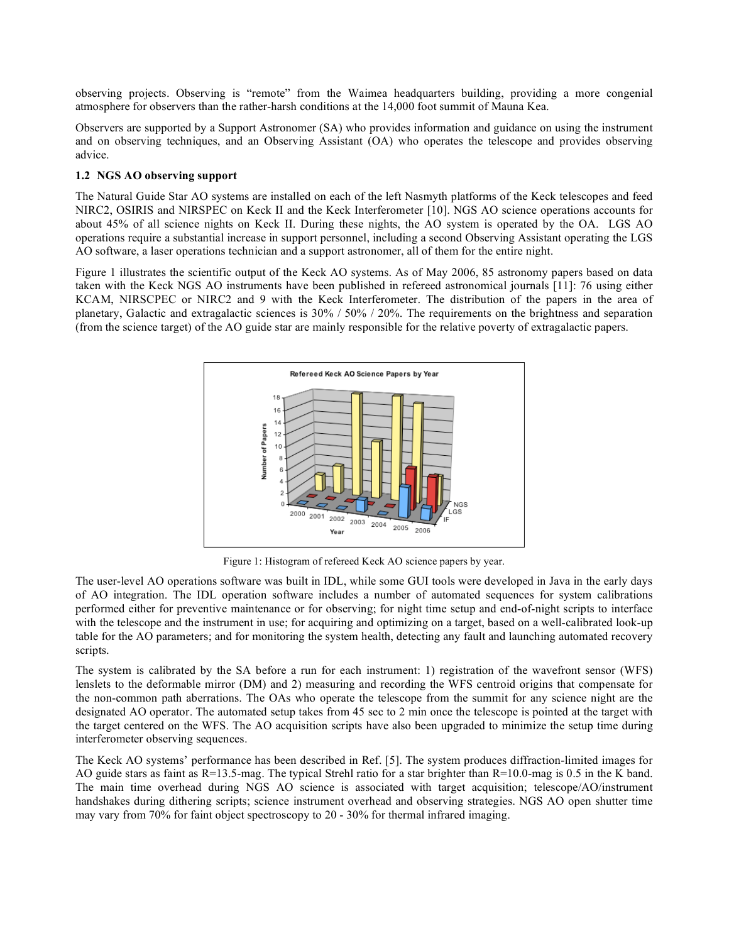observing projects. Observing is "remote" from the Waimea headquarters building, providing a more congenial atmosphere for observers than the rather-harsh conditions at the 14,000 foot summit of Mauna Kea.

Observers are supported by a Support Astronomer (SA) who provides information and guidance on using the instrument and on observing techniques, and an Observing Assistant (OA) who operates the telescope and provides observing advice.

# **1.2 NGS AO observing support**

The Natural Guide Star AO systems are installed on each of the left Nasmyth platforms of the Keck telescopes and feed NIRC2, OSIRIS and NIRSPEC on Keck II and the Keck Interferometer [10]. NGS AO science operations accounts for about 45% of all science nights on Keck II. During these nights, the AO system is operated by the OA. LGS AO operations require a substantial increase in support personnel, including a second Observing Assistant operating the LGS AO software, a laser operations technician and a support astronomer, all of them for the entire night.

Figure 1 illustrates the scientific output of the Keck AO systems. As of May 2006, 85 astronomy papers based on data taken with the Keck NGS AO instruments have been published in refereed astronomical journals [11]: 76 using either KCAM, NIRSCPEC or NIRC2 and 9 with the Keck Interferometer. The distribution of the papers in the area of planetary, Galactic and extragalactic sciences is 30% / 50% / 20%. The requirements on the brightness and separation (from the science target) of the AO guide star are mainly responsible for the relative poverty of extragalactic papers.



Figure 1: Histogram of refereed Keck AO science papers by year.

The user-level AO operations software was built in IDL, while some GUI tools were developed in Java in the early days of AO integration. The IDL operation software includes a number of automated sequences for system calibrations performed either for preventive maintenance or for observing; for night time setup and end-of-night scripts to interface with the telescope and the instrument in use; for acquiring and optimizing on a target, based on a well-calibrated look-up table for the AO parameters; and for monitoring the system health, detecting any fault and launching automated recovery scripts.

The system is calibrated by the SA before a run for each instrument: 1) registration of the wavefront sensor (WFS) lenslets to the deformable mirror (DM) and 2) measuring and recording the WFS centroid origins that compensate for the non-common path aberrations. The OAs who operate the telescope from the summit for any science night are the designated AO operator. The automated setup takes from 45 sec to 2 min once the telescope is pointed at the target with the target centered on the WFS. The AO acquisition scripts have also been upgraded to minimize the setup time during interferometer observing sequences.

The Keck AO systems' performance has been described in Ref. [5]. The system produces diffraction-limited images for AO guide stars as faint as  $R=13.5$ -mag. The typical Strehl ratio for a star brighter than  $R=10.0$ -mag is 0.5 in the K band. The main time overhead during NGS AO science is associated with target acquisition; telescope/AO/instrument handshakes during dithering scripts; science instrument overhead and observing strategies. NGS AO open shutter time may vary from 70% for faint object spectroscopy to 20 - 30% for thermal infrared imaging.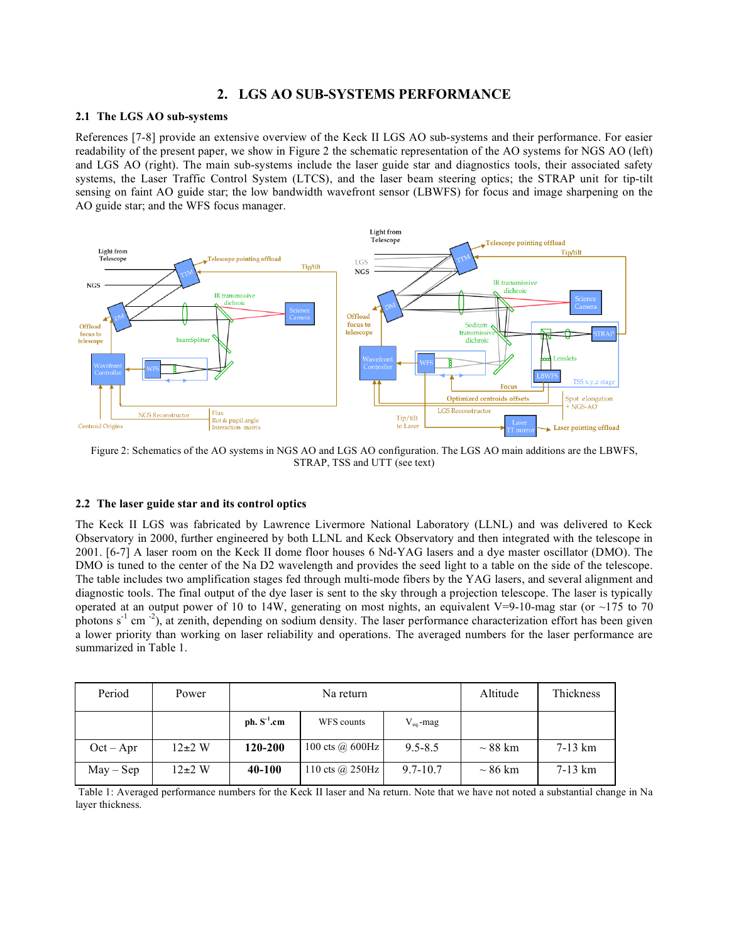# **2. LGS AO SUB-SYSTEMS PERFORMANCE**

#### **2.1 The LGS AO sub-systems**

References [7-8] provide an extensive overview of the Keck II LGS AO sub-systems and their performance. For easier readability of the present paper, we show in Figure 2 the schematic representation of the AO systems for NGS AO (left) and LGS AO (right). The main sub-systems include the laser guide star and diagnostics tools, their associated safety systems, the Laser Traffic Control System (LTCS), and the laser beam steering optics; the STRAP unit for tip-tilt sensing on faint AO guide star; the low bandwidth wavefront sensor (LBWFS) for focus and image sharpening on the AO guide star; and the WFS focus manager.



Figure 2: Schematics of the AO systems in NGS AO and LGS AO configuration. The LGS AO main additions are the LBWFS, STRAP, TSS and UTT (see text)

#### **2.2 The laser guide star and its control optics**

The Keck II LGS was fabricated by Lawrence Livermore National Laboratory (LLNL) and was delivered to Keck Observatory in 2000, further engineered by both LLNL and Keck Observatory and then integrated with the telescope in 2001. [6-7] A laser room on the Keck II dome floor houses 6 Nd-YAG lasers and a dye master oscillator (DMO). The DMO is tuned to the center of the Na D2 wavelength and provides the seed light to a table on the side of the telescope. The table includes two amplification stages fed through multi-mode fibers by the YAG lasers, and several alignment and diagnostic tools. The final output of the dye laser is sent to the sky through a projection telescope. The laser is typically operated at an output power of 10 to 14W, generating on most nights, an equivalent V=9-10-mag star (or  $\sim$ 175 to 70 photons s<sup>-1</sup> cm<sup>-2</sup>), at zenith, depending on sodium density. The laser performance characterization effort has been given a lower priority than working on laser reliability and operations. The averaged numbers for the laser performance are summarized in Table 1.

| Period      | Power      | Na return       |                        |               | Altitude     | Thickness |
|-------------|------------|-----------------|------------------------|---------------|--------------|-----------|
|             |            | $ph. S^{-1}.cm$ | WFS counts             | $V_{eq}$ -mag |              |           |
| $Oct - Apr$ | $12\pm2$ W | 120-200         | 100 cts $\omega$ 600Hz | $9.5 - 8.5$   | $\sim$ 88 km | $7-13$ km |
| $May - Sep$ | $12\pm2$ W | 40-100          | 110 cts $\omega$ 250Hz | $9.7 - 10.7$  | $\sim$ 86 km | $7-13$ km |

Table 1: Averaged performance numbers for the Keck II laser and Na return. Note that we have not noted a substantial change in Na layer thickness.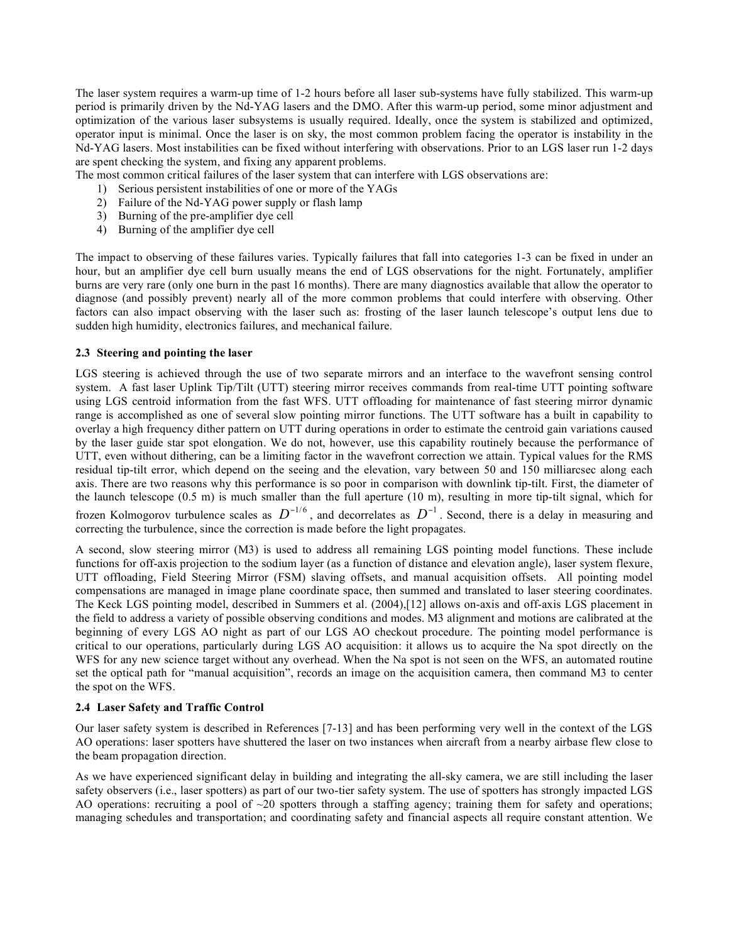The laser system requires a warm-up time of 1-2 hours before all laser sub-systems have fully stabilized. This warm-up period is primarily driven by the Nd-YAG lasers and the DMO. After this warm-up period, some minor adjustment and optimization of the various laser subsystems is usually required. Ideally, once the system is stabilized and optimized, operator input is minimal. Once the laser is on sky, the most common problem facing the operator is instability in the Nd-YAG lasers. Most instabilities can be fixed without interfering with observations. Prior to an LGS laser run 1-2 days are spent checking the system, and fixing any apparent problems.

- The most common critical failures of the laser system that can interfere with LGS observations are:
	- 1) Serious persistent instabilities of one or more of the YAGs
	- 2) Failure of the Nd-YAG power supply or flash lamp
	- 3) Burning of the pre-amplifier dye cell
	- 4) Burning of the amplifier dye cell

The impact to observing of these failures varies. Typically failures that fall into categories 1-3 can be fixed in under an hour, but an amplifier dye cell burn usually means the end of LGS observations for the night. Fortunately, amplifier burns are very rare (only one burn in the past 16 months). There are many diagnostics available that allow the operator to diagnose (and possibly prevent) nearly all of the more common problems that could interfere with observing. Other factors can also impact observing with the laser such as: frosting of the laser launch telescope's output lens due to sudden high humidity, electronics failures, and mechanical failure.

# **2.3 Steering and pointing the laser**

LGS steering is achieved through the use of two separate mirrors and an interface to the wavefront sensing control system. A fast laser Uplink Tip/Tilt (UTT) steering mirror receives commands from real-time UTT pointing software using LGS centroid information from the fast WFS. UTT offloading for maintenance of fast steering mirror dynamic range is accomplished as one of several slow pointing mirror functions. The UTT software has a built in capability to overlay a high frequency dither pattern on UTT during operations in order to estimate the centroid gain variations caused by the laser guide star spot elongation. We do not, however, use this capability routinely because the performance of UTT, even without dithering, can be a limiting factor in the wavefront correction we attain. Typical values for the RMS residual tip-tilt error, which depend on the seeing and the elevation, vary between 50 and 150 milliarcsec along each axis. There are two reasons why this performance is so poor in comparison with downlink tip-tilt. First, the diameter of the launch telescope (0.5 m) is much smaller than the full aperture (10 m), resulting in more tip-tilt signal, which for frozen Kolmogorov turbulence scales as  $D^{-1/6}$ , and decorrelates as  $D^{-1}$ . Second, there is a delay in measuring and correcting the turbulence, since the correction is made before the light propagates.

A second, slow steering mirror (M3) is used to address all remaining LGS pointing model functions. These include functions for off-axis projection to the sodium layer (as a function of distance and elevation angle), laser system flexure, UTT offloading, Field Steering Mirror (FSM) slaving offsets, and manual acquisition offsets. All pointing model compensations are managed in image plane coordinate space, then summed and translated to laser steering coordinates. The Keck LGS pointing model, described in Summers et al. (2004),[12] allows on-axis and off-axis LGS placement in the field to address a variety of possible observing conditions and modes. M3 alignment and motions are calibrated at the beginning of every LGS AO night as part of our LGS AO checkout procedure. The pointing model performance is critical to our operations, particularly during LGS AO acquisition: it allows us to acquire the Na spot directly on the WFS for any new science target without any overhead. When the Na spot is not seen on the WFS, an automated routine set the optical path for "manual acquisition", records an image on the acquisition camera, then command M3 to center the spot on the WFS.

## **2.4 Laser Safety and Traffic Control**

Our laser safety system is described in References [7-13] and has been performing very well in the context of the LGS AO operations: laser spotters have shuttered the laser on two instances when aircraft from a nearby airbase flew close to the beam propagation direction.

As we have experienced significant delay in building and integrating the all-sky camera, we are still including the laser safety observers (i.e., laser spotters) as part of our two-tier safety system. The use of spotters has strongly impacted LGS AO operations: recruiting a pool of  $\sim$ 20 spotters through a staffing agency; training them for safety and operations; managing schedules and transportation; and coordinating safety and financial aspects all require constant attention. We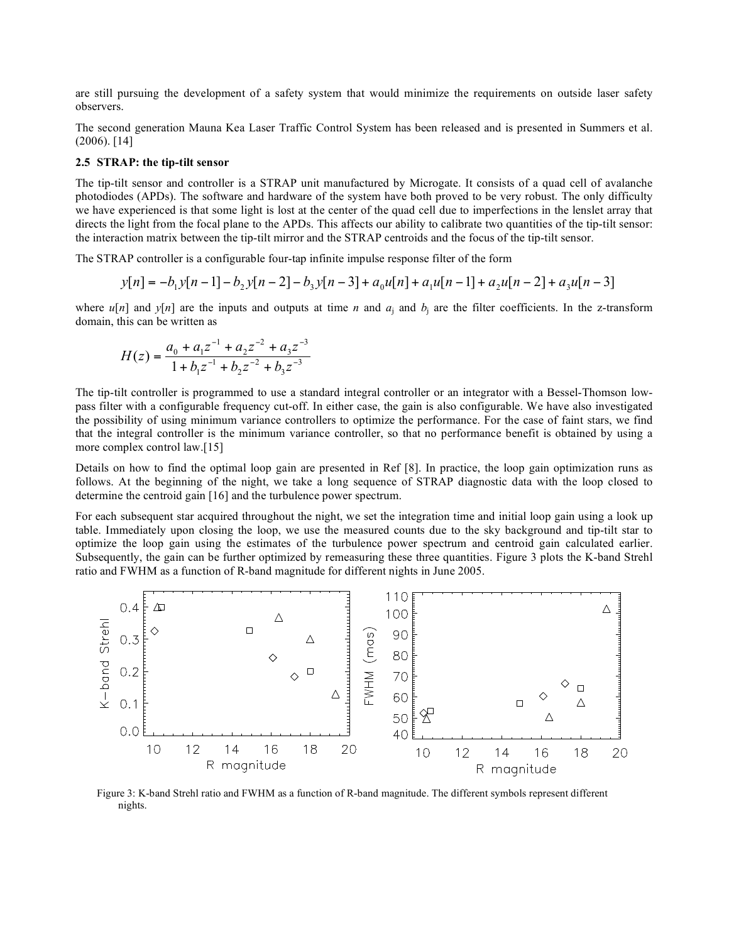are still pursuing the development of a safety system that would minimize the requirements on outside laser safety observers.

The second generation Mauna Kea Laser Traffic Control System has been released and is presented in Summers et al. (2006). [14]

#### **2.5 STRAP: the tip-tilt sensor**

The tip-tilt sensor and controller is a STRAP unit manufactured by Microgate. It consists of a quad cell of avalanche photodiodes (APDs). The software and hardware of the system have both proved to be very robust. The only difficulty we have experienced is that some light is lost at the center of the quad cell due to imperfections in the lenslet array that directs the light from the focal plane to the APDs. This affects our ability to calibrate two quantities of the tip-tilt sensor: the interaction matrix between the tip-tilt mirror and the STRAP centroids and the focus of the tip-tilt sensor.

The STRAP controller is a configurable four-tap infinite impulse response filter of the form

$$
y[n] = -b_1y[n-1] - b_2y[n-2] - b_3y[n-3] + a_0u[n] + a_1u[n-1] + a_2u[n-2] + a_3u[n-3]
$$

where  $u[n]$  and  $y[n]$  are the inputs and outputs at time *n* and  $a_i$  and  $b_i$  are the filter coefficients. In the z-transform domain, this can be written as

$$
H(z) = \frac{a_0 + a_1 z^{-1} + a_2 z^{-2} + a_3 z^{-3}}{1 + b_1 z^{-1} + b_2 z^{-2} + b_3 z^{-3}}
$$

The tip-tilt controller is programmed to use a standard integral controller or an integrator with a Bessel-Thomson lowpass filter with a configurable frequency cut-off. In either case, the gain is also configurable. We have also investigated the possibility of using minimum variance controllers to optimize the performance. For the case of faint stars, we find that the integral controller is the minimum variance controller, so that no performance benefit is obtained by using a more complex control law.[15]

Details on how to find the optimal loop gain are presented in Ref [8]. In practice, the loop gain optimization runs as follows. At the beginning of the night, we take a long sequence of STRAP diagnostic data with the loop closed to determine the centroid gain [16] and the turbulence power spectrum.

For each subsequent star acquired throughout the night, we set the integration time and initial loop gain using a look up table. Immediately upon closing the loop, we use the measured counts due to the sky background and tip-tilt star to optimize the loop gain using the estimates of the turbulence power spectrum and centroid gain calculated earlier. Subsequently, the gain can be further optimized by remeasuring these three quantities. Figure 3 plots the K-band Strehl ratio and FWHM as a function of R-band magnitude for different nights in June 2005.



Figure 3: K-band Strehl ratio and FWHM as a function of R-band magnitude. The different symbols represent different nights.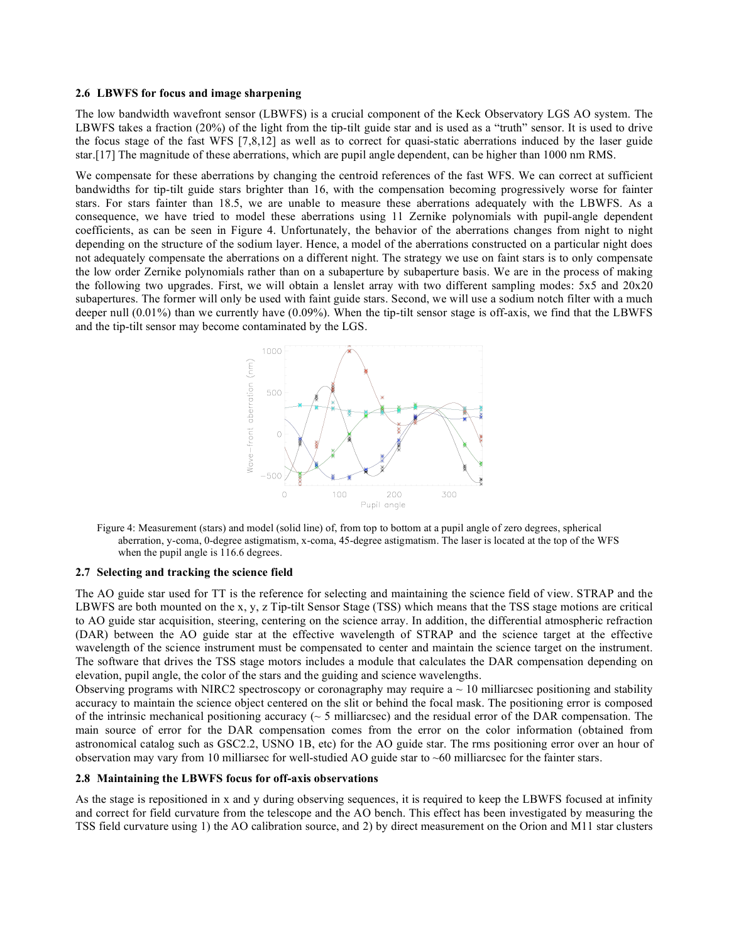#### **2.6 LBWFS for focus and image sharpening**

The low bandwidth wavefront sensor (LBWFS) is a crucial component of the Keck Observatory LGS AO system. The LBWFS takes a fraction (20%) of the light from the tip-tilt guide star and is used as a "truth" sensor. It is used to drive the focus stage of the fast WFS [7,8,12] as well as to correct for quasi-static aberrations induced by the laser guide star.[17] The magnitude of these aberrations, which are pupil angle dependent, can be higher than 1000 nm RMS.

We compensate for these aberrations by changing the centroid references of the fast WFS. We can correct at sufficient bandwidths for tip-tilt guide stars brighter than 16, with the compensation becoming progressively worse for fainter stars. For stars fainter than 18.5, we are unable to measure these aberrations adequately with the LBWFS. As a consequence, we have tried to model these aberrations using 11 Zernike polynomials with pupil-angle dependent coefficients, as can be seen in Figure 4. Unfortunately, the behavior of the aberrations changes from night to night depending on the structure of the sodium layer. Hence, a model of the aberrations constructed on a particular night does not adequately compensate the aberrations on a different night. The strategy we use on faint stars is to only compensate the low order Zernike polynomials rather than on a subaperture by subaperture basis. We are in the process of making the following two upgrades. First, we will obtain a lenslet array with two different sampling modes: 5x5 and 20x20 subapertures. The former will only be used with faint guide stars. Second, we will use a sodium notch filter with a much deeper null (0.01%) than we currently have (0.09%). When the tip-tilt sensor stage is off-axis, we find that the LBWFS and the tip-tilt sensor may become contaminated by the LGS.



Figure 4: Measurement (stars) and model (solid line) of, from top to bottom at a pupil angle of zero degrees, spherical aberration, y-coma, 0-degree astigmatism, x-coma, 45-degree astigmatism. The laser is located at the top of the WFS when the pupil angle is 116.6 degrees.

#### **2.7 Selecting and tracking the science field**

The AO guide star used for TT is the reference for selecting and maintaining the science field of view. STRAP and the LBWFS are both mounted on the x, y, z Tip-tilt Sensor Stage (TSS) which means that the TSS stage motions are critical to AO guide star acquisition, steering, centering on the science array. In addition, the differential atmospheric refraction (DAR) between the AO guide star at the effective wavelength of STRAP and the science target at the effective wavelength of the science instrument must be compensated to center and maintain the science target on the instrument. The software that drives the TSS stage motors includes a module that calculates the DAR compensation depending on elevation, pupil angle, the color of the stars and the guiding and science wavelengths.

Observing programs with NIRC2 spectroscopy or coronagraphy may require  $a \sim 10$  milliarcsec positioning and stability accuracy to maintain the science object centered on the slit or behind the focal mask. The positioning error is composed of the intrinsic mechanical positioning accuracy ( $\sim$  5 milliarcsec) and the residual error of the DAR compensation. The main source of error for the DAR compensation comes from the error on the color information (obtained from astronomical catalog such as GSC2.2, USNO 1B, etc) for the AO guide star. The rms positioning error over an hour of observation may vary from 10 milliarsec for well-studied AO guide star to ~60 milliarcsec for the fainter stars.

#### **2.8 Maintaining the LBWFS focus for off-axis observations**

As the stage is repositioned in x and y during observing sequences, it is required to keep the LBWFS focused at infinity and correct for field curvature from the telescope and the AO bench. This effect has been investigated by measuring the TSS field curvature using 1) the AO calibration source, and 2) by direct measurement on the Orion and M11 star clusters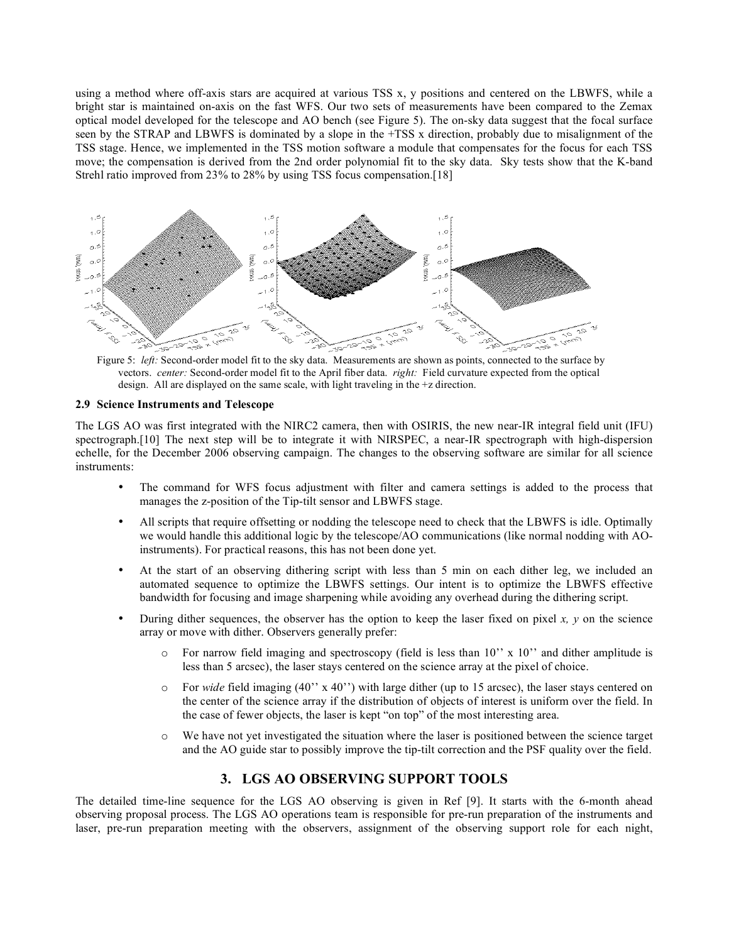using a method where off-axis stars are acquired at various TSS x, y positions and centered on the LBWFS, while a bright star is maintained on-axis on the fast WFS. Our two sets of measurements have been compared to the Zemax optical model developed for the telescope and AO bench (see Figure 5). The on-sky data suggest that the focal surface seen by the STRAP and LBWFS is dominated by a slope in the +TSS x direction, probably due to misalignment of the TSS stage. Hence, we implemented in the TSS motion software a module that compensates for the focus for each TSS move; the compensation is derived from the 2nd order polynomial fit to the sky data. Sky tests show that the K-band Strehl ratio improved from 23% to 28% by using TSS focus compensation.[18]



Figure 5: *left:* Second-order model fit to the sky data. Measurements are shown as points, connected to the surface by vectors. *center:* Second-order model fit to the April fiber data. *right:* Field curvature expected from the optical design. All are displayed on the same scale, with light traveling in the +z direction.

#### **2.9 Science Instruments and Telescope**

The LGS AO was first integrated with the NIRC2 camera, then with OSIRIS, the new near-IR integral field unit (IFU) spectrograph.[10] The next step will be to integrate it with NIRSPEC, a near-IR spectrograph with high-dispersion echelle, for the December 2006 observing campaign. The changes to the observing software are similar for all science instruments:

- The command for WFS focus adjustment with filter and camera settings is added to the process that manages the z-position of the Tip-tilt sensor and LBWFS stage.
- All scripts that require offsetting or nodding the telescope need to check that the LBWFS is idle. Optimally we would handle this additional logic by the telescope/AO communications (like normal nodding with AOinstruments). For practical reasons, this has not been done yet.
- At the start of an observing dithering script with less than 5 min on each dither leg, we included an automated sequence to optimize the LBWFS settings. Our intent is to optimize the LBWFS effective bandwidth for focusing and image sharpening while avoiding any overhead during the dithering script.
- During dither sequences, the observer has the option to keep the laser fixed on pixel  $x$ ,  $y$  on the science array or move with dither. Observers generally prefer:
	- $\circ$  For narrow field imaging and spectroscopy (field is less than 10" x 10" and dither amplitude is less than 5 arcsec), the laser stays centered on the science array at the pixel of choice.
	- o For *wide* field imaging (40'' x 40'') with large dither (up to 15 arcsec), the laser stays centered on the center of the science array if the distribution of objects of interest is uniform over the field. In the case of fewer objects, the laser is kept "on top" of the most interesting area.
	- o We have not yet investigated the situation where the laser is positioned between the science target and the AO guide star to possibly improve the tip-tilt correction and the PSF quality over the field.

# **3. LGS AO OBSERVING SUPPORT TOOLS**

The detailed time-line sequence for the LGS AO observing is given in Ref [9]. It starts with the 6-month ahead observing proposal process. The LGS AO operations team is responsible for pre-run preparation of the instruments and laser, pre-run preparation meeting with the observers, assignment of the observing support role for each night,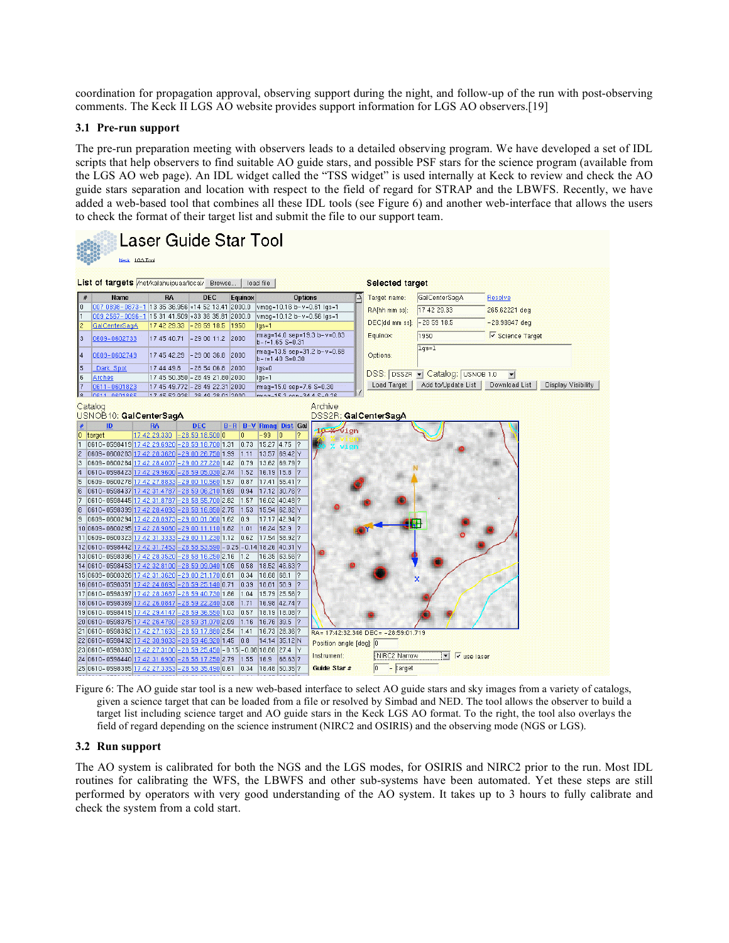coordination for propagation approval, observing support during the night, and follow-up of the run with post-observing comments. The Keck II LGS AO website provides support information for LGS AO observers.[19]

# **3.1 Pre-run support**

The pre-run preparation meeting with observers leads to a detailed observing program. We have developed a set of IDL scripts that help observers to find suitable AO guide stars, and possible PSF stars for the science program (available from the LGS AO web page). An IDL widget called the "TSS widget" is used internally at Keck to review and check the AO guide stars separation and location with respect to the field of regard for STRAP and the LBWFS. Recently, we have added a web-based tool that combines all these IDL tools (see Figure 6) and another web-interface that allows the users to check the format of their target list and submit the file to our support team.



Figure 6: The AO guide star tool is a new web-based interface to select AO guide stars and sky images from a variety of catalogs, given a science target that can be loaded from a file or resolved by Simbad and NED. The tool allows the observer to build a target list including science target and AO guide stars in the Keck LGS AO format. To the right, the tool also overlays the field of regard depending on the science instrument (NIRC2 and OSIRIS) and the observing mode (NGS or LGS).

#### **3.2 Run support**

The AO system is calibrated for both the NGS and the LGS modes, for OSIRIS and NIRC2 prior to the run. Most IDL routines for calibrating the WFS, the LBWFS and other sub-systems have been automated. Yet these steps are still performed by operators with very good understanding of the AO system. It takes up to 3 hours to fully calibrate and check the system from a cold start.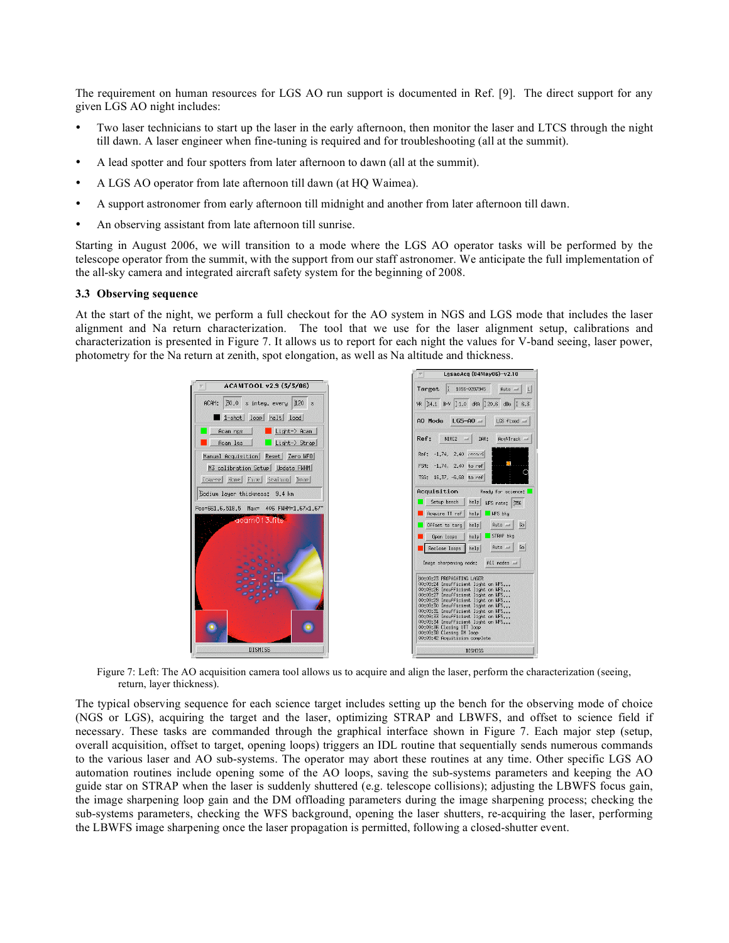The requirement on human resources for LGS AO run support is documented in Ref. [9]. The direct support for any given LGS AO night includes:

- Two laser technicians to start up the laser in the early afternoon, then monitor the laser and LTCS through the night till dawn. A laser engineer when fine-tuning is required and for troubleshooting (all at the summit).
- A lead spotter and four spotters from later afternoon to dawn (all at the summit).
- A LGS AO operator from late afternoon till dawn (at HQ Waimea).
- A support astronomer from early afternoon till midnight and another from later afternoon till dawn.
- An observing assistant from late afternoon till sunrise.

Starting in August 2006, we will transition to a mode where the LGS AO operator tasks will be performed by the telescope operator from the summit, with the support from our staff astronomer. We anticipate the full implementation of the all-sky camera and integrated aircraft safety system for the beginning of 2008.

## **3.3 Observing sequence**

At the start of the night, we perform a full checkout for the AO system in NGS and LGS mode that includes the laser alignment and Na return characterization. The tool that we use for the laser alignment setup, calibrations and characterization is presented in Figure 7. It allows us to report for each night the values for V-band seeing, laser power, photometry for the Na return at zenith, spot elongation, as well as Na altitude and thickness.



Figure 7: Left: The AO acquisition camera tool allows us to acquire and align the laser, perform the characterization (seeing, return, layer thickness).

The typical observing sequence for each science target includes setting up the bench for the observing mode of choice (NGS or LGS), acquiring the target and the laser, optimizing STRAP and LBWFS, and offset to science field if necessary. These tasks are commanded through the graphical interface shown in Figure 7. Each major step (setup, overall acquisition, offset to target, opening loops) triggers an IDL routine that sequentially sends numerous commands to the various laser and AO sub-systems. The operator may abort these routines at any time. Other specific LGS AO automation routines include opening some of the AO loops, saving the sub-systems parameters and keeping the AO guide star on STRAP when the laser is suddenly shuttered (e.g. telescope collisions); adjusting the LBWFS focus gain, the image sharpening loop gain and the DM offloading parameters during the image sharpening process; checking the sub-systems parameters, checking the WFS background, opening the laser shutters, re-acquiring the laser, performing the LBWFS image sharpening once the laser propagation is permitted, following a closed-shutter event.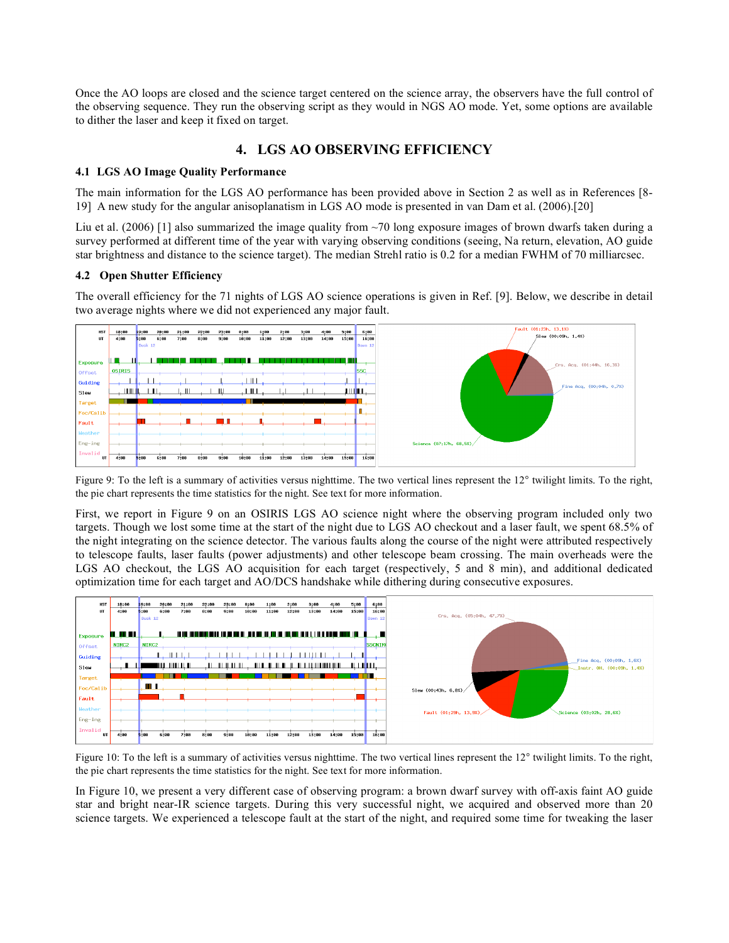Once the AO loops are closed and the science target centered on the science array, the observers have the full control of the observing sequence. They run the observing script as they would in NGS AO mode. Yet, some options are available to dither the laser and keep it fixed on target.

# **4. LGS AO OBSERVING EFFICIENCY**

#### **4.1 LGS AO Image Quality Performance**

The main information for the LGS AO performance has been provided above in Section 2 as well as in References [8- 19] A new study for the angular anisoplanatism in LGS AO mode is presented in van Dam et al. (2006).[20]

Liu et al. (2006) [1] also summarized the image quality from ~70 long exposure images of brown dwarfs taken during a survey performed at different time of the year with varying observing conditions (seeing, Na return, elevation, AO guide star brightness and distance to the science target). The median Strehl ratio is 0.2 for a median FWHM of 70 milliarcsec.

# **4.2 Open Shutter Efficiency**

The overall efficiency for the 71 nights of LGS AO science operations is given in Ref. [9]. Below, we describe in detail two average nights where we did not experienced any major fault.



Figure 9: To the left is a summary of activities versus nighttime. The two vertical lines represent the 12° twilight limits. To the right, the pie chart represents the time statistics for the night. See text for more information.

First, we report in Figure 9 on an OSIRIS LGS AO science night where the observing program included only two targets. Though we lost some time at the start of the night due to LGS AO checkout and a laser fault, we spent 68.5% of the night integrating on the science detector. The various faults along the course of the night were attributed respectively to telescope faults, laser faults (power adjustments) and other telescope beam crossing. The main overheads were the LGS AO checkout, the LGS AO acquisition for each target (respectively, 5 and 8 min), and additional dedicated optimization time for each target and AO/DCS handshake while dithering during consecutive exposures.



Figure 10: To the left is a summary of activities versus nighttime. The two vertical lines represent the 12° twilight limits. To the right, the pie chart represents the time statistics for the night. See text for more information.

In Figure 10, we present a very different case of observing program: a brown dwarf survey with off-axis faint AO guide star and bright near-IR science targets. During this very successful night, we acquired and observed more than 20 science targets. We experienced a telescope fault at the start of the night, and required some time for tweaking the laser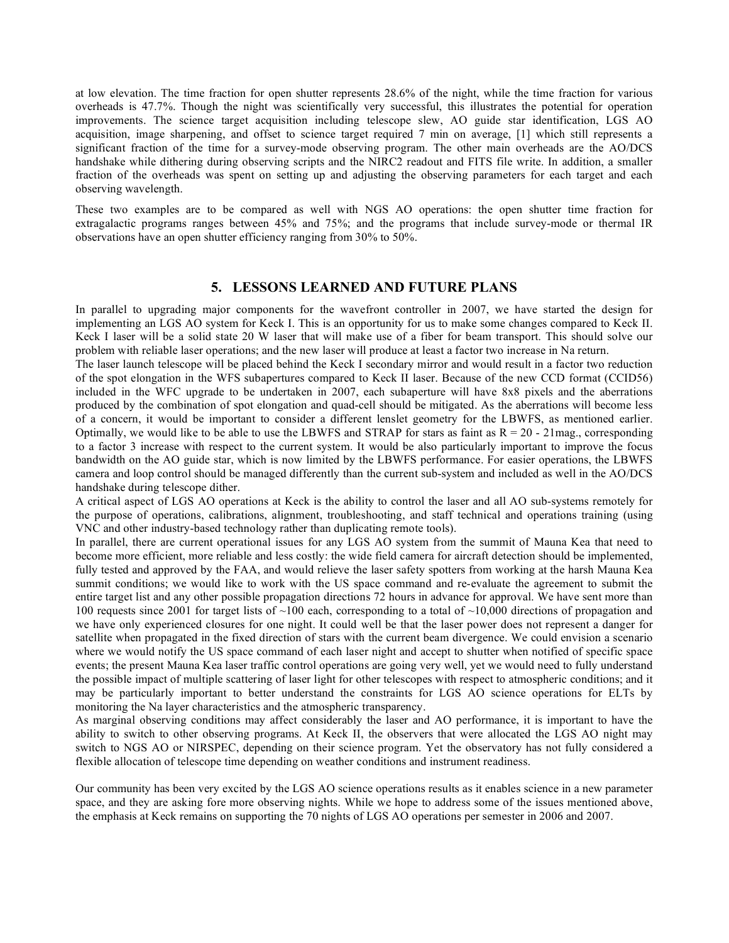at low elevation. The time fraction for open shutter represents 28.6% of the night, while the time fraction for various overheads is 47.7%. Though the night was scientifically very successful, this illustrates the potential for operation improvements. The science target acquisition including telescope slew, AO guide star identification, LGS AO acquisition, image sharpening, and offset to science target required 7 min on average, [1] which still represents a significant fraction of the time for a survey-mode observing program. The other main overheads are the AO/DCS handshake while dithering during observing scripts and the NIRC2 readout and FITS file write. In addition, a smaller fraction of the overheads was spent on setting up and adjusting the observing parameters for each target and each observing wavelength.

These two examples are to be compared as well with NGS AO operations: the open shutter time fraction for extragalactic programs ranges between 45% and 75%; and the programs that include survey-mode or thermal IR observations have an open shutter efficiency ranging from 30% to 50%.

# **5. LESSONS LEARNED AND FUTURE PLANS**

In parallel to upgrading major components for the wavefront controller in 2007, we have started the design for implementing an LGS AO system for Keck I. This is an opportunity for us to make some changes compared to Keck II. Keck I laser will be a solid state 20 W laser that will make use of a fiber for beam transport. This should solve our problem with reliable laser operations; and the new laser will produce at least a factor two increase in Na return.

The laser launch telescope will be placed behind the Keck I secondary mirror and would result in a factor two reduction of the spot elongation in the WFS subapertures compared to Keck II laser. Because of the new CCD format (CCID56) included in the WFC upgrade to be undertaken in 2007, each subaperture will have 8x8 pixels and the aberrations produced by the combination of spot elongation and quad-cell should be mitigated. As the aberrations will become less of a concern, it would be important to consider a different lenslet geometry for the LBWFS, as mentioned earlier. Optimally, we would like to be able to use the LBWFS and STRAP for stars as faint as  $R = 20 - 21$  mag., corresponding to a factor 3 increase with respect to the current system. It would be also particularly important to improve the focus bandwidth on the AO guide star, which is now limited by the LBWFS performance. For easier operations, the LBWFS camera and loop control should be managed differently than the current sub-system and included as well in the AO/DCS handshake during telescope dither.

A critical aspect of LGS AO operations at Keck is the ability to control the laser and all AO sub-systems remotely for the purpose of operations, calibrations, alignment, troubleshooting, and staff technical and operations training (using VNC and other industry-based technology rather than duplicating remote tools).

In parallel, there are current operational issues for any LGS AO system from the summit of Mauna Kea that need to become more efficient, more reliable and less costly: the wide field camera for aircraft detection should be implemented, fully tested and approved by the FAA, and would relieve the laser safety spotters from working at the harsh Mauna Kea summit conditions; we would like to work with the US space command and re-evaluate the agreement to submit the entire target list and any other possible propagation directions 72 hours in advance for approval. We have sent more than 100 requests since 2001 for target lists of  $\sim$ 100 each, corresponding to a total of  $\sim$ 10,000 directions of propagation and we have only experienced closures for one night. It could well be that the laser power does not represent a danger for satellite when propagated in the fixed direction of stars with the current beam divergence. We could envision a scenario where we would notify the US space command of each laser night and accept to shutter when notified of specific space events; the present Mauna Kea laser traffic control operations are going very well, yet we would need to fully understand the possible impact of multiple scattering of laser light for other telescopes with respect to atmospheric conditions; and it may be particularly important to better understand the constraints for LGS AO science operations for ELTs by monitoring the Na layer characteristics and the atmospheric transparency.

As marginal observing conditions may affect considerably the laser and AO performance, it is important to have the ability to switch to other observing programs. At Keck II, the observers that were allocated the LGS AO night may switch to NGS AO or NIRSPEC, depending on their science program. Yet the observatory has not fully considered a flexible allocation of telescope time depending on weather conditions and instrument readiness.

Our community has been very excited by the LGS AO science operations results as it enables science in a new parameter space, and they are asking fore more observing nights. While we hope to address some of the issues mentioned above, the emphasis at Keck remains on supporting the 70 nights of LGS AO operations per semester in 2006 and 2007.